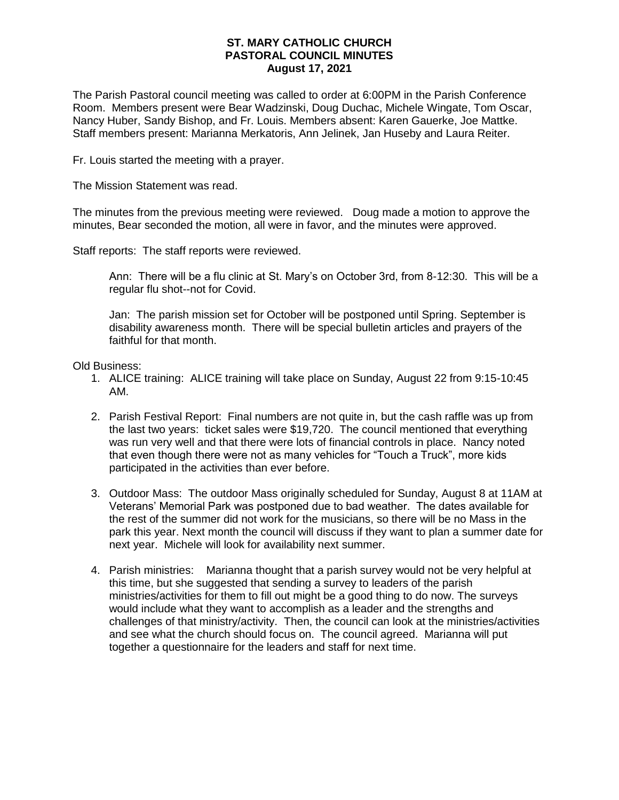## **ST. MARY CATHOLIC CHURCH PASTORAL COUNCIL MINUTES August 17, 2021**

The Parish Pastoral council meeting was called to order at 6:00PM in the Parish Conference Room. Members present were Bear Wadzinski, Doug Duchac, Michele Wingate, Tom Oscar, Nancy Huber, Sandy Bishop, and Fr. Louis. Members absent: Karen Gauerke, Joe Mattke. Staff members present: Marianna Merkatoris, Ann Jelinek, Jan Huseby and Laura Reiter.

Fr. Louis started the meeting with a prayer.

The Mission Statement was read.

The minutes from the previous meeting were reviewed. Doug made a motion to approve the minutes, Bear seconded the motion, all were in favor, and the minutes were approved.

Staff reports: The staff reports were reviewed.

Ann: There will be a flu clinic at St. Mary's on October 3rd, from 8-12:30. This will be a regular flu shot--not for Covid.

Jan: The parish mission set for October will be postponed until Spring. September is disability awareness month. There will be special bulletin articles and prayers of the faithful for that month.

Old Business:

- 1. ALICE training: ALICE training will take place on Sunday, August 22 from 9:15-10:45 AM.
- 2. Parish Festival Report: Final numbers are not quite in, but the cash raffle was up from the last two years: ticket sales were \$19,720. The council mentioned that everything was run very well and that there were lots of financial controls in place. Nancy noted that even though there were not as many vehicles for "Touch a Truck", more kids participated in the activities than ever before.
- 3. Outdoor Mass: The outdoor Mass originally scheduled for Sunday, August 8 at 11AM at Veterans' Memorial Park was postponed due to bad weather. The dates available for the rest of the summer did not work for the musicians, so there will be no Mass in the park this year. Next month the council will discuss if they want to plan a summer date for next year. Michele will look for availability next summer.
- 4. Parish ministries: Marianna thought that a parish survey would not be very helpful at this time, but she suggested that sending a survey to leaders of the parish ministries/activities for them to fill out might be a good thing to do now. The surveys would include what they want to accomplish as a leader and the strengths and challenges of that ministry/activity. Then, the council can look at the ministries/activities and see what the church should focus on. The council agreed. Marianna will put together a questionnaire for the leaders and staff for next time.